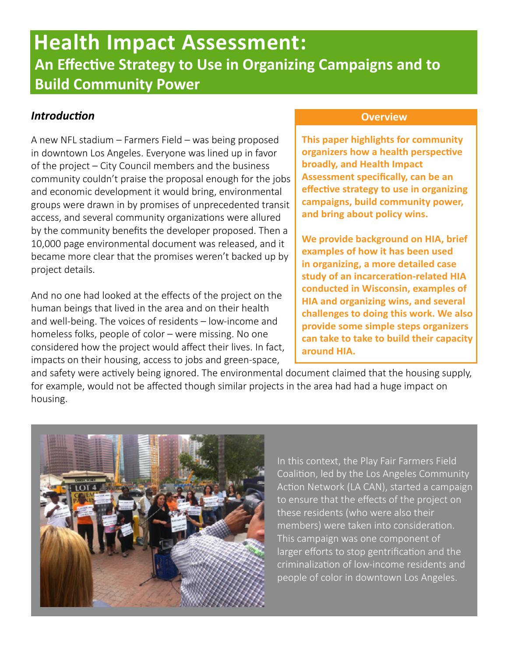# **Health Impact Assessment: An Effective Strategy to Use in Organizing Campaigns and to Build Community Power**

#### *Introduction*

A new NFL stadium – Farmers Field – was being proposed in downtown Los Angeles. Everyone was lined up in favor of the project – City Council members and the business community couldn't praise the proposal enough for the jobs and economic development it would bring, environmental groups were drawn in by promises of unprecedented transit access, and several community organizations were allured by the community benefits the developer proposed. Then a 10,000 page environmental document was released, and it became more clear that the promises weren't backed up by project details.

And no one had looked at the effects of the project on the human beings that lived in the area and on their health and well-being. The voices of residents – low-income and homeless folks, people of color – were missing. No one considered how the project would affect their lives. In fact, impacts on their housing, access to jobs and green-space,

#### **Overview**

**This paper highlights for community organizers how a health perspective broadly, and Health Impact Assessment specifically, can be an effective strategy to use in organizing campaigns, build community power, and bring about policy wins.** 

**We provide background on HIA, brief examples of how it has been used in organizing, a more detailed case study of an incarceration-related HIA conducted in Wisconsin, examples of HIA and organizing wins, and several challenges to doing this work. We also provide some simple steps organizers can take to take to build their capacity around HIA.**

and safety were actively being ignored. The environmental document claimed that the housing supply, for example, would not be affected though similar projects in the area had had a huge impact on housing.



In this context, the Play Fair Farmers Field Coalition, led by the Los Angeles Community Action Network (LA CAN), started a campaign to ensure that the effects of the project on these residents (who were also their members) were taken into consideration. This campaign was one component of larger efforts to stop gentrification and the criminalization of low-income residents and people of color in downtown Los Angeles.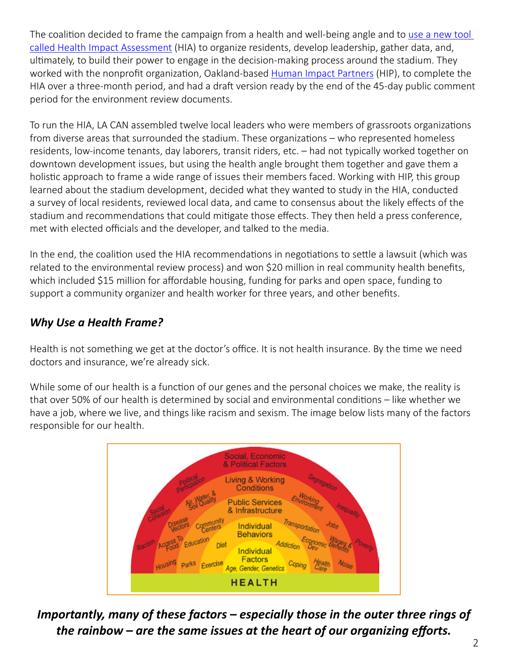The coalition decided to frame the campaign from a health and well-being angle and to [use a new tool](http://www.humanimpact.org/component/jdownloads/finish/23/275)  [called Health Impact Assessment](http://www.humanimpact.org/component/jdownloads/finish/23/275) (HIA) to organize residents, develop leadership, gather data, and, ultimately, to build their power to engage in the decision-making process around the stadium. They worked with the nonprofit organization, Oakland-based [Human Impact Partners](http://humanimpact.org) (HIP), to complete the HIA over a three-month period, and had a draft version ready by the end of the 45-day public comment period for the environment review documents.

To run the HIA, LA CAN assembled twelve local leaders who were members of grassroots organizations from diverse areas that surrounded the stadium. These organizations – who represented homeless residents, low-income tenants, day laborers, transit riders, etc. – had not typically worked together on downtown development issues, but using the health angle brought them together and gave them a holistic approach to frame a wide range of issues their members faced. Working with HIP, this group learned about the stadium development, decided what they wanted to study in the HIA, conducted a survey of local residents, reviewed local data, and came to consensus about the likely effects of the stadium and recommendations that could mitigate those effects. They then held a press conference, met with elected officials and the developer, and talked to the media.

In the end, the coalition used the HIA recommendations in negotiations to settle a lawsuit (which was related to the environmental review process) and won \$20 million in real community health benefits, which included \$15 million for affordable housing, funding for parks and open space, funding to support a community organizer and health worker for three years, and other benefits.

#### *Why Use a Health Frame?*

Health is not something we get at the doctor's office. It is not health insurance. By the time we need doctors and insurance, we're already sick.

While some of our health is a function of our genes and the personal choices we make, the reality is that over 50% of our health is determined by social and environmental conditions – like whether we have a job, where we live, and things like racism and sexism. The image below lists many of the factors responsible for our health.



*Importantly, many of these factors – especially those in the outer three rings of the rainbow – are the same issues at the heart of our organizing efforts.*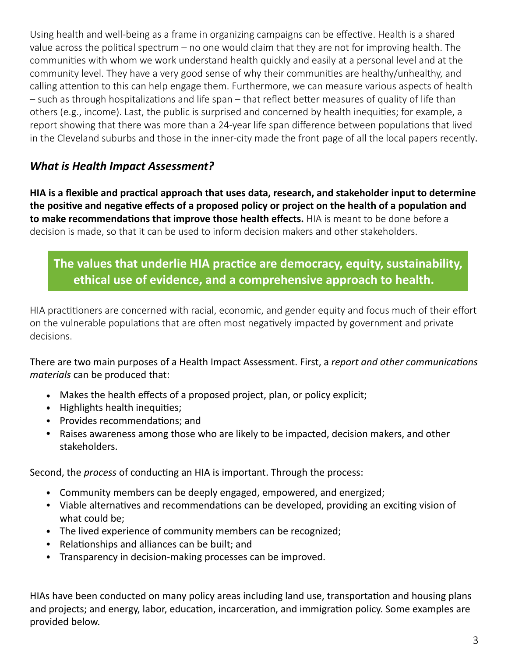Using health and well-being as a frame in organizing campaigns can be effective. Health is a shared value across the political spectrum – no one would claim that they are not for improving health. The communities with whom we work understand health quickly and easily at a personal level and at the community level. They have a very good sense of why their communities are healthy/unhealthy, and calling attention to this can help engage them. Furthermore, we can measure various aspects of health – such as through hospitalizations and life span – that reflect better measures of quality of life than others (e.g., income). Last, the public is surprised and concerned by health inequities; for example, a report showing that there was more than a 24-year life span difference between populations that lived in the Cleveland suburbs and those in the inner-city made the front page of all the local papers recently.

#### *What is Health Impact Assessment?*

**HIA is a flexible and practical approach that uses data, research, and stakeholder input to determine the positive and negative effects of a proposed policy or project on the health of a population and to make recommendations that improve those health effects.** HIA is meant to be done before a decision is made, so that it can be used to inform decision makers and other stakeholders.

## **The values that underlie HIA practice are democracy, equity, sustainability, ethical use of evidence, and a comprehensive approach to health.**

HIA practitioners are concerned with racial, economic, and gender equity and focus much of their effort on the vulnerable populations that are often most negatively impacted by government and private decisions.

There are two main purposes of a Health Impact Assessment. First, a *report and other communications materials* can be produced that:

- Makes the health effects of a proposed project, plan, or policy explicit;
- Highlights health inequities;
- Provides recommendations; and
- Raises awareness among those who are likely to be impacted, decision makers, and other stakeholders.

Second, the *process* of conducting an HIA is important. Through the process:

- Community members can be deeply engaged, empowered, and energized;
- Viable alternatives and recommendations can be developed, providing an exciting vision of what could be;
- The lived experience of community members can be recognized;
- Relationships and alliances can be built; and
- Transparency in decision-making processes can be improved.

HIAs have been conducted on many policy areas including land use, transportation and housing plans and projects; and energy, labor, education, incarceration, and immigration policy. Some examples are provided below.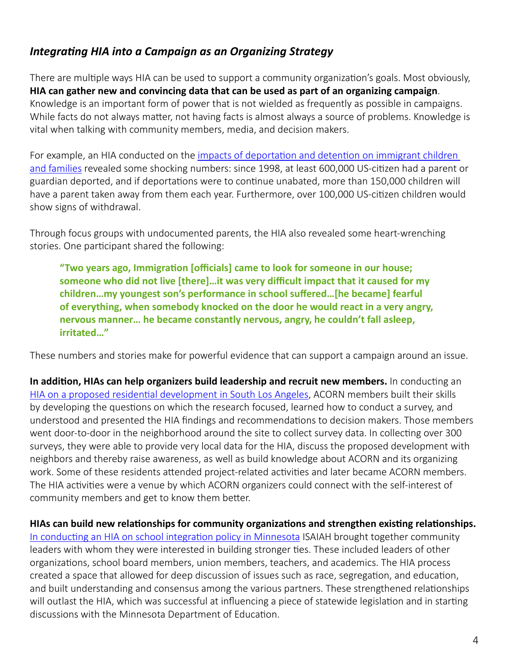### *Integrating HIA into a Campaign as an Organizing Strategy*

There are multiple ways HIA can be used to support a community organization's goals. Most obviously, **HIA can gather new and convincing data that can be used as part of an organizing campaign**. Knowledge is an important form of power that is not wielded as frequently as possible in campaigns. While facts do not always matter, not having facts is almost always a source of problems. Knowledge is vital when talking with community members, media, and decision makers.

For example, an HIA conducted on the [impacts of deportation and detention on immigrant children](http://www.familyunityfamilyhealth.org/)  [and families](http://www.familyunityfamilyhealth.org/) revealed some shocking numbers: since 1998, at least 600,000 US-citizen had a parent or guardian deported, and if deportations were to continue unabated, more than 150,000 children will have a parent taken away from them each year. Furthermore, over 100,000 US-citizen children would show signs of withdrawal.

Through focus groups with undocumented parents, the HIA also revealed some heart-wrenching stories. One participant shared the following:

**"Two years ago, Immigration [officials] came to look for someone in our house; someone who did not live [there]…it was very difficult impact that it caused for my children…my youngest son's performance in school suffered…[he became] fearful of everything, when somebody knocked on the door he would react in a very angry, nervous manner… he became constantly nervous, angry, he couldn't fall asleep, irritated…"**

These numbers and stories make for powerful evidence that can support a campaign around an issue.

**In addition, HIAs can help organizers build leadership and recruit new members.** In conducting an [HIA on a proposed residential development in South Los Angeles,](http://www.humanimpact.org/component/jdownloads/finish/23/288) ACORN members built their skills by developing the questions on which the research focused, learned how to conduct a survey, and understood and presented the HIA findings and recommendations to decision makers. Those members went door-to-door in the neighborhood around the site to collect survey data. In collecting over 300 surveys, they were able to provide very local data for the HIA, discuss the proposed development with neighbors and thereby raise awareness, as well as build knowledge about ACORN and its organizing work. Some of these residents attended project-related activities and later became ACORN members. The HIA activities were a venue by which ACORN organizers could connect with the self-interest of community members and get to know them better.

**HIAs can build new relationships for community organizations and strengthen existing relationships.**  [In conducting an HIA on school integration policy in Minnesota](http://www.humanimpact.org/component/jdownloads/finish/17/300) ISAIAH brought together community leaders with whom they were interested in building stronger ties. These included leaders of other organizations, school board members, union members, teachers, and academics. The HIA process created a space that allowed for deep discussion of issues such as race, segregation, and education, and built understanding and consensus among the various partners. These strengthened relationships will outlast the HIA, which was successful at influencing a piece of statewide legislation and in starting discussions with the Minnesota Department of Education.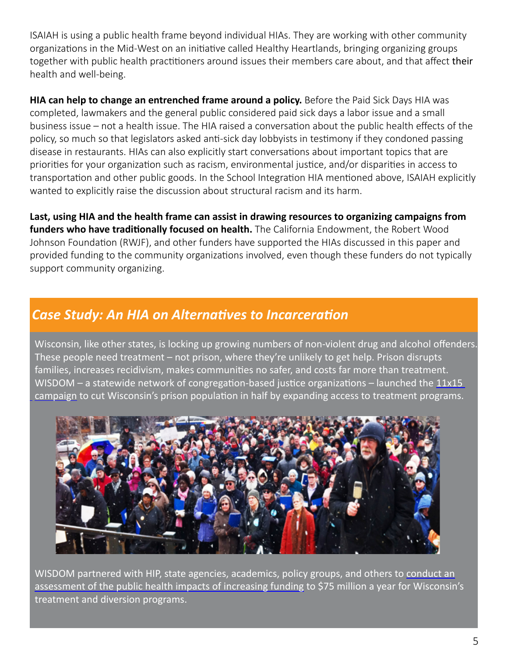ISAIAH is using a public health frame beyond individual HIAs. They are working with other community organizations in the Mid-West on an initiative called Healthy Heartlands, bringing organizing groups together with public health practitioners around issues their members care about, and that affect their health and well-being.

**HIA can help to change an entrenched frame around a policy.** Before the Paid Sick Days HIA was completed, lawmakers and the general public considered paid sick days a labor issue and a small business issue – not a health issue. The HIA raised a conversation about the public health effects of the policy, so much so that legislators asked anti-sick day lobbyists in testimony if they condoned passing disease in restaurants. HIAs can also explicitly start conversations about important topics that are priorities for your organization such as racism, environmental justice, and/or disparities in access to transportation and other public goods. In the School Integration HIA mentioned above, ISAIAH explicitly wanted to explicitly raise the discussion about structural racism and its harm.

**Last, using HIA and the health frame can assist in drawing resources to organizing campaigns from funders who have traditionally focused on health.** The California Endowment, the Robert Wood Johnson Foundation (RWJF), and other funders have supported the HIAs discussed in this paper and provided funding to the community organizations involved, even though these funders do not typically support community organizing.

# *Case Study: An HIA on Alternatives to Incarceration*

 Wisconsin, like other states, is locking up growing numbers of non-violent drug and alcohol offenders. These people need treatment – not prison, where they're unlikely to get help. Prison disrupts families, increases recidivism, makes communities no safer, and costs far more than treatment. WISDOM – a statewide network of congregation-based justice organizations – launched the [11x15](http://prayforjusticeinwi.org/) [campaign](http://prayforjusticeinwi.org/) to cut Wisconsin's prison population in half by expanding access to treatment programs.



WISDOM partnered with HIP, state agencies, academics, policy groups, and others to [conduct an](http://www.humanimpact.org/component/jdownloads/finish/23/290)  [assessment of the public health impacts of increasing funding](http://www.humanimpact.org/component/jdownloads/finish/23/290) to \$75 million a year for Wisconsin's treatment and diversion programs.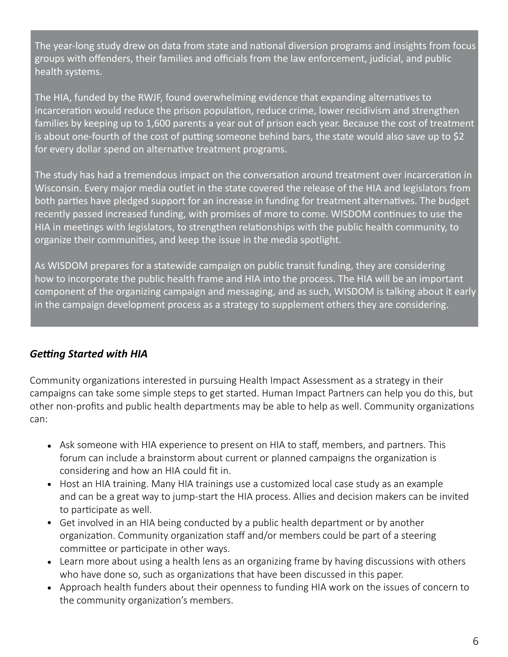The year-long study drew on data from state and national diversion programs and insights from focus groups with offenders, their families and officials from the law enforcement, judicial, and public health systems.

 The HIA, funded by the RWJF, found overwhelming evidence that expanding alternatives to incarceration would reduce the prison population, reduce crime, lower recidivism and strengthen families by keeping up to 1,600 parents a year out of prison each year. Because the cost of treatment is about one-fourth of the cost of putting someone behind bars, the state would also save up to \$2 for every dollar spend on alternative treatment programs.

 The study has had a tremendous impact on the conversation around treatment over incarceration in Wisconsin. Every major media outlet in the state covered the release of the HIA and legislators from both parties have pledged support for an increase in funding for treatment alternatives. The budget recently passed increased funding, with promises of more to come. WISDOM continues to use the HIA in meetings with legislators, to strengthen relationships with the public health community, to organize their communities, and keep the issue in the media spotlight.

 As WISDOM prepares for a statewide campaign on public transit funding, they are considering how to incorporate the public health frame and HIA into the process. The HIA will be an important component of the organizing campaign and messaging, and as such, WISDOM is talking about it early in the campaign development process as a strategy to supplement others they are considering.

#### *Getting Started with HIA*

Community organizations interested in pursuing Health Impact Assessment as a strategy in their campaigns can take some simple steps to get started. Human Impact Partners can help you do this, but other non-profits and public health departments may be able to help as well. Community organizations can:

- Ask someone with HIA experience to present on HIA to staff, members, and partners. This forum can include a brainstorm about current or planned campaigns the organization is considering and how an HIA could fit in.
- Host an HIA training. Many HIA trainings use a customized local case study as an example and can be a great way to jump-start the HIA process. Allies and decision makers can be invited to participate as well.
- Get involved in an HIA being conducted by a public health department or by another organization. Community organization staff and/or members could be part of a steering committee or participate in other ways.
- Learn more about using a health lens as an organizing frame by having discussions with others who have done so, such as organizations that have been discussed in this paper.
- Approach health funders about their openness to funding HIA work on the issues of concern to the community organization's members.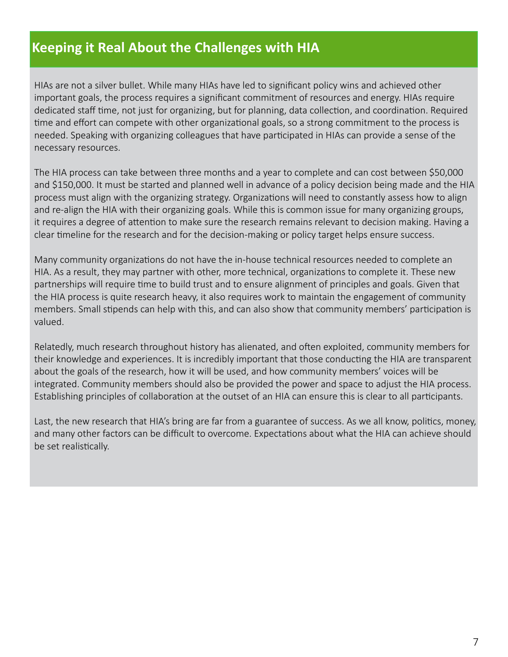# **Keeping it Real About the Challenges with HIA**

 HIAs are not a silver bullet. While many HIAs have led to significant policy wins and achieved other important goals, the process requires a significant commitment of resources and energy. HIAs require dedicated staff time, not just for organizing, but for planning, data collection, and coordination. Required time and effort can compete with other organizational goals, so a strong commitment to the process is needed. Speaking with organizing colleagues that have participated in HIAs can provide a sense of the necessary resources.

 The HIA process can take between three months and a year to complete and can cost between \$50,000 and \$150,000. It must be started and planned well in advance of a policy decision being made and the HIA process must align with the organizing strategy. Organizations will need to constantly assess how to align and re-align the HIA with their organizing goals. While this is common issue for many organizing groups, it requires a degree of attention to make sure the research remains relevant to decision making. Having a clear timeline for the research and for the decision-making or policy target helps ensure success.

 Many community organizations do not have the in-house technical resources needed to complete an HIA. As a result, they may partner with other, more technical, organizations to complete it. These new partnerships will require time to build trust and to ensure alignment of principles and goals. Given that the HIA process is quite research heavy, it also requires work to maintain the engagement of community members. Small stipends can help with this, and can also show that community members' participation is valued.

 Relatedly, much research throughout history has alienated, and often exploited, community members for their knowledge and experiences. It is incredibly important that those conducting the HIA are transparent about the goals of the research, how it will be used, and how community members' voices will be integrated. Community members should also be provided the power and space to adjust the HIA process. Establishing principles of collaboration at the outset of an HIA can ensure this is clear to all participants.

 Last, the new research that HIA's bring are far from a guarantee of success. As we all know, politics, money, and many other factors can be difficult to overcome. Expectations about what the HIA can achieve should be set realistically.